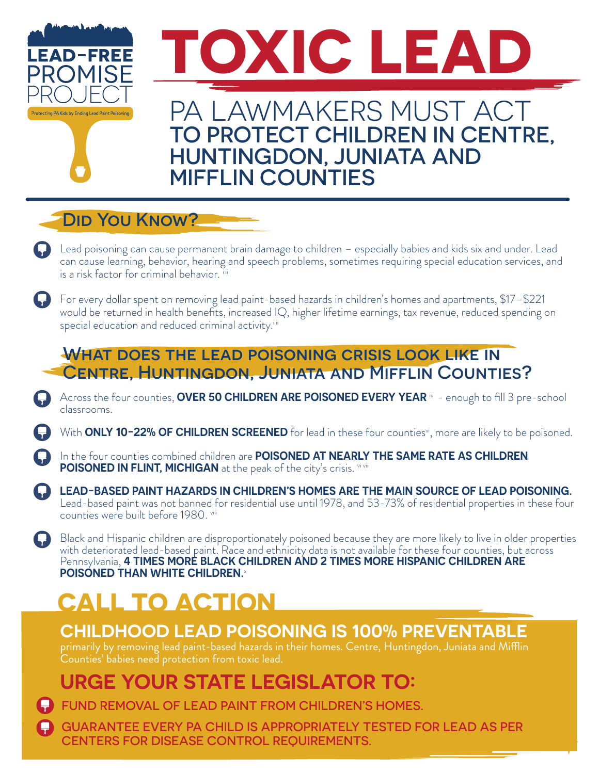

#### **DID YOU KNOW?**

- Lead poisoning can cause permanent brain damage to children especially babies and kids six and under. Lead can cause learning, behavior, hearing and speech problems, sometimes requiring special education services, and is a risk factor for criminal behavior. iii
- For every dollar spent on removing lead paint-based hazards in children's homes and apartments, \$17–\$221 would be returned in health benefits, increased IQ, higher lifetime earnings, tax revenue, reduced spending on special education and reduced criminal activity.<sup>iii</sup>

#### WHAT DOES THE LEAD POISONING CRISIS LOOK LIKE IN Centre, Huntingdon, Juniata and Mifflin Counties?

- Across the four counties, **OVER 50 CHILDREN ARE POISONED EVERY YEAR**  $\dot{v}$  enough to fill 3 pre-school classrooms.
- With **ONLY 10-22% OF CHILDREN SCREENED** for lead in these four counties<sup>vi</sup>, more are likely to be poisoned.
- In the four counties combined children are **POISONED AT NEARLY THE SAME RATE AS CHILDREN POISONED IN FLINT, MICHIGAN** at the peak of the city's crisis. Vivii
- **LEAD-BASED PAINT HAZARDS IN CHILDREN'S HOMES ARE THE MAIN SOURCE OF LEAD POISONING.** Lead-based paint was not banned for residential use until 1978, and 53-73% of residential properties in these four counties were built before 1980. Viii
- Black and Hispanic children are disproportionately poisoned because they are more likely to live in older properties with deteriorated lead-based paint. Race and ethnicity data is not available for these four counties, but across Pennsylvania, **4 TIMES MORE BLACK CHILDREN AND 2 TIMES MORE HISPANIC CHILDREN ARE POISONED THAN WHITE CHILDREN.**

# **CALL TO ACTION**

### **CHILDHOOD LEAD POISONING IS 100% PREVENTABLE**

primarily by removing lead paint-based hazards in their homes. Centre, Huntingdon, Juniata and Mifflin Counties' babies need protection from toxic lead.

## **URGE YOUR STATE LEGISLATOR TO:**

**C** FUND REMOVAL OF LEAD PAINT FROM CHILDREN'S HOMES.

GUARANTEE EVERY PA CHILD IS APPROPRIATELY TESTED FOR LEAD AS PER CENTERS FOR DISEASE CONTROL REQUIREMENTS.